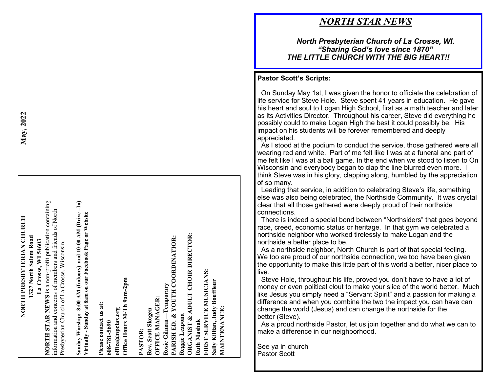## NORTH PRESBYTERIAN CHURCH **NORTH PRESBYTERIAN CHURCH** 1327 North Salem Road **1327 North Salem Road** La Crosse, WI 54603 **La Crosse, WI 54603**

**NORTH STAR NEWS** is a non-profit publication containing NORTH STAR NEWS is a non-profit publication containing information and concerns of members and friends of North information and concerns of members and friends of North Presbyterian Church of La Crosse, Wisconsin. Presbyterian Church of La Crosse, Wisconsin.

Sunday Worship: 8:00 AM (Indoors) and 10:00 AM (Drive-In)<br>Virtually - Sunday at 8am on our Facebook Page or Website **Sunday Worship: 8:00 AM (Indoors) and 10:00 AM (Drive –In) Virtually - Sunday at 8am on our Facebook Page or Website**

Office Hours M-Th 9am-2pm **Office Hours M-Th 9am-2pm** Please contact us at: **Please contact us at: 608-781-5690 office@npclax.org**

**ORGANIST & ADULT CHOIR DIRECTOR:**  ORGANIST & ADULT CHOIR DIRECTOR: **PARISH ED. & YOUTH COORDINATIOR:**  PARISH ED. & YOUTH COORDINATIOR: **Ruth Mashak FIRST SERVICE MUSICIANS: Sally Killian, Judy Bouffleur**  Sally Killian, Judy Bouffleur Rosie Gilman-Temporary **Rosie Gilman—Temporary OFFICE MANAGER: OFFICE MANAGER: MAINTENANCE:** Rev. Scott Skogen **MAINTENANCE: Rev. Scott Skogen** Reggie Lezpona **Reggie Lezpona PASTOR:** 

**May, 2022**

## *NORTH STAR NEWS*

#### *North Presbyterian Church of La Crosse, WI. "Sharing God 's love since 1870" THE LITTLE CHURCH WITH THE BIG HEART!!*

#### **Pastor Scott 's Scripts:**

 On Sunday May 1st, I was given the honor to officiate the celebration of life service for Steve Hole. Steve spent 41 years in education. He gave his heart and soul to Logan High School, first as a math teacher and later as its Activities Director. Throughout his career, Steve did everything he possibly could to make Logan High the best it could possibly be. His impact on his students will be forever remembered and deeply appreciated.

 As I stood at the podium to conduct the service, those gathered were all wearing red and white. Part of me felt like I was at a funeral and part of me felt like I was at a ball game. In the end when we stood to listen to On Wisconsin and everybody began to clap the line blurred even more. I think Steve was in his glory, clapping along, humbled by the appreciation of so many.

 Leading that service, in addition to celebrating Steve 's life, something else was also being celebrated, the Northside Community. It was crystal clear that all those gathered were deeply proud of their northside connections.

 There is indeed a special bond between "Northsiders" that goes beyond race, creed, economic status or heritage. In that gym we celebrated a northside neighbor who worked tirelessly to make Logan and the northside a better place to be.

 As a northside neighbor, North Church is part of that special feeling. We too are proud of our northside connection, we too have been given the opportunity to make this little part of this world a better, nicer place to live.

 Steve Hole, throughout his life, proved you don 't have to have a lot of money or even political clout to make your slice of the world better. Much like Jesus you simply need a "Servant Spirit" and a passion for making a difference and when you combine the two the impact you can have can change the world (Jesus) and can change the northside for the better (Steve).

 As a proud northside Pastor, let us join together and do what we can to make a difference in our neighborhood.

See ya in church Pastor Scott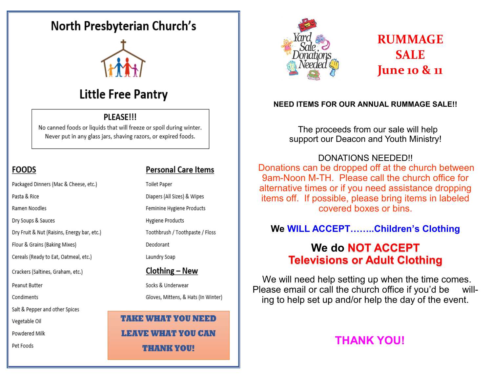## North Presbyterian Church's



## **Little Free Pantry**

#### PLEASE!!!

No canned foods or liquids that will freeze or spoil during winter. Never put in any glass jars, shaving razors, or expired foods.

#### **FOODS**

Packaged Dinners (Mac & Cheese, etc.) Pasta & Rice Ramen Noodles Dry Soups & Sauces Dry Fruit & Nut (Raisins, Energy bar, etc.) Flour & Grains (Baking Mixes) Cereals (Ready to Eat, Oatmeal, etc.) Crackers (Saltines, Graham, etc.) Salt & Pepper and other Spices

Peanut Butter

Condiments

Vegetable Oil

Powdered Milk

Pet Foods

#### **Personal Care Items**

**Toilet Paper** 

Diapers (All Sizes) & Wipes Feminine Hygiene Products

Hygiene Products

Toothbrush / Toothpaste / Floss

Deodorant

Laundry Soap

#### Clothing – New

Socks & Underwear Gloves, Mittens, & Hats (In Winter)

**TAKE WHAT YOU NEED LEAVE WHAT YOU CAN THANK YOU!** 



## **RUMMAGE SALE June 10 & 11**

#### **NEED ITEMS FOR OUR ANNUAL RUMMAGE SALE!!**

The proceeds from our sale will help support our Deacon and Youth Ministry!

#### DONATIONS NEEDED!!

Donations can be dropped off at the church between 9am-Noon M-TH. Please call the church office for alternative times or if you need assistance dropping items off. If possible, please bring items in labeled covered boxes or bins.

### **We WILL ACCEPT……..Children's Clothing**

## **We do NOT ACCEPT Televisions or Adult Clothing**

We will need help setting up when the time comes. Please email or call the church office if you'd be willing to help set up and/or help the day of the event.

## **THANK YOU!**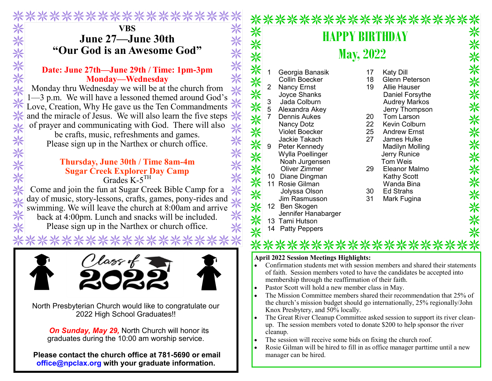## **VBS June 27—June 30th "Our God is an Awesome God"** VBS<br>
June 27—June 30th<br>
"Our God is an Awesome God"<br>
Date: June 27th—June 29th / Time: 1pm-3pm<br>
Monday—Wednesday<br>
Monday thru Wednesday we will be at the church from<br>
1—3 p.m. We will have a lessoned themed around God's<br>

\*\*\*\*\*\*\*\*\*\*

#### **Date: June 27th—June 29th / Time: 1pm-3pm Monday—Wednesday**

Monday thru Wednesday we will be at the church from Love, Creation, Why He gave us the Ten Commandments and the miracle of Jesus. We will also learn the five steps  $*$  of prayer and communicating with God. There will also of prayer and communicating with God. There will also be crafts, music, refreshments and games.

Please sign up in the Narthex or church office.

#### **Thursday, June 30th / Time 8am-4m Sugar Creek Explorer Day Camp** Grades K-5<sup>TH</sup>

Come and join the fun at Sugar Creek Bible Camp for a day of music, story-lessons, crafts, games, pony-rides and swimming. We will leave the church at 8:00am and arrive back at 4:00pm. Lunch and snacks will be included. Please sign up in the Narthex or church office.



North Presbyterian Church would like to congratulate our 2022 High School Graduates!!

*On Sunday, May 29,* North Church will honor its graduates during the 10:00 am worship service.

**Please contact the church office at 781-5690 or email office@npclax.org with your graduate information.**



#### **April 2022 Session Meetings Highlights:**

- Confirmation students met with session members and shared their statements of faith. Session members voted to have the candidates be accepted into membership through the reaffirmation of their faith.
- Pastor Scott will hold a new member class in May.
- The Mission Committee members shared their recommendation that 25% of the church's mission budget should go internationally, 25% regionally/John Knox Presbytery, and 50% locally.
- The Great River Cleanup Committee asked session to support its river cleanup. The session members voted to donate \$200 to help sponsor the river cleanup.
- The session will receive some bids on fixing the church roof.
- Rosie Gilman will be hired to fill in as office manager parttime until a new manager can be hired.